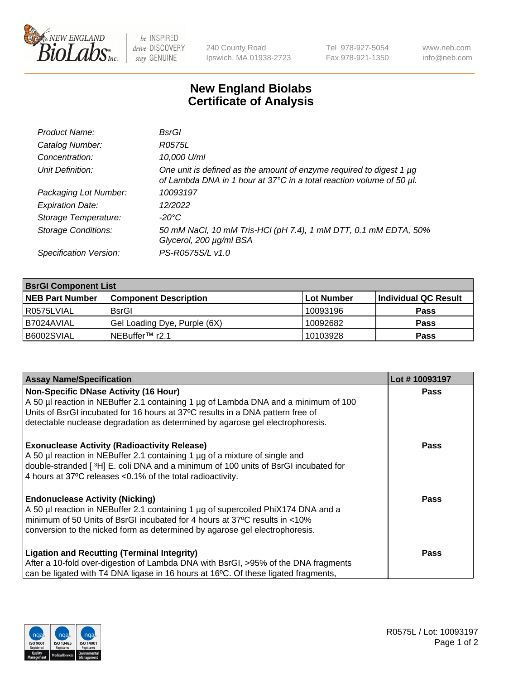

be INSPIRED drive DISCOVERY stay GENUINE

240 County Road Ipswich, MA 01938-2723 Tel 978-927-5054 Fax 978-921-1350 www.neb.com info@neb.com

## **New England Biolabs Certificate of Analysis**

| Product Name:              | BsrGl                                                                                                                                       |
|----------------------------|---------------------------------------------------------------------------------------------------------------------------------------------|
| Catalog Number:            | R0575L                                                                                                                                      |
| Concentration:             | 10,000 U/ml                                                                                                                                 |
| Unit Definition:           | One unit is defined as the amount of enzyme required to digest 1 µg<br>of Lambda DNA in 1 hour at 37°C in a total reaction volume of 50 µl. |
| Packaging Lot Number:      | 10093197                                                                                                                                    |
| <b>Expiration Date:</b>    | 12/2022                                                                                                                                     |
| Storage Temperature:       | $-20^{\circ}$ C                                                                                                                             |
| <b>Storage Conditions:</b> | 50 mM NaCl, 10 mM Tris-HCl (pH 7.4), 1 mM DTT, 0.1 mM EDTA, 50%<br>Glycerol, 200 µg/ml BSA                                                  |
| Specification Version:     | PS-R0575S/L v1.0                                                                                                                            |

| <b>BsrGI Component List</b> |                              |            |                      |  |  |
|-----------------------------|------------------------------|------------|----------------------|--|--|
| <b>NEB Part Number</b>      | <b>Component Description</b> | Lot Number | Individual QC Result |  |  |
| R0575LVIAL                  | <b>BsrGI</b>                 | 10093196   | <b>Pass</b>          |  |  |
| I B7024AVIAL                | Gel Loading Dye, Purple (6X) | 10092682   | <b>Pass</b>          |  |  |
| B6002SVIAL                  | INEBuffer™ r2.1              | 10103928   | <b>Pass</b>          |  |  |

| <b>Assay Name/Specification</b>                                                              | Lot #10093197 |
|----------------------------------------------------------------------------------------------|---------------|
| Non-Specific DNase Activity (16 Hour)                                                        | <b>Pass</b>   |
| A 50 µl reaction in NEBuffer 2.1 containing 1 µg of Lambda DNA and a minimum of 100          |               |
| Units of BsrGI incubated for 16 hours at 37°C results in a DNA pattern free of               |               |
| detectable nuclease degradation as determined by agarose gel electrophoresis.                |               |
| <b>Exonuclease Activity (Radioactivity Release)</b>                                          | Pass          |
| A 50 µl reaction in NEBuffer 2.1 containing 1 µg of a mixture of single and                  |               |
| double-stranded [3H] E. coli DNA and a minimum of 100 units of BsrGI incubated for           |               |
| 4 hours at 37°C releases < 0.1% of the total radioactivity.                                  |               |
| <b>Endonuclease Activity (Nicking)</b>                                                       | Pass          |
| A 50 µl reaction in NEBuffer 2.1 containing 1 µg of supercoiled PhiX174 DNA and a            |               |
| minimum of 50 Units of BsrGI incubated for 4 hours at 37°C results in <10%                   |               |
| conversion to the nicked form as determined by agarose gel electrophoresis.                  |               |
| <b>Ligation and Recutting (Terminal Integrity)</b>                                           | <b>Pass</b>   |
| After a 10-fold over-digestion of Lambda DNA with BsrGI, >95% of the DNA fragments           |               |
| can be ligated with T4 DNA ligase in 16 hours at 16 $\degree$ C. Of these ligated fragments, |               |